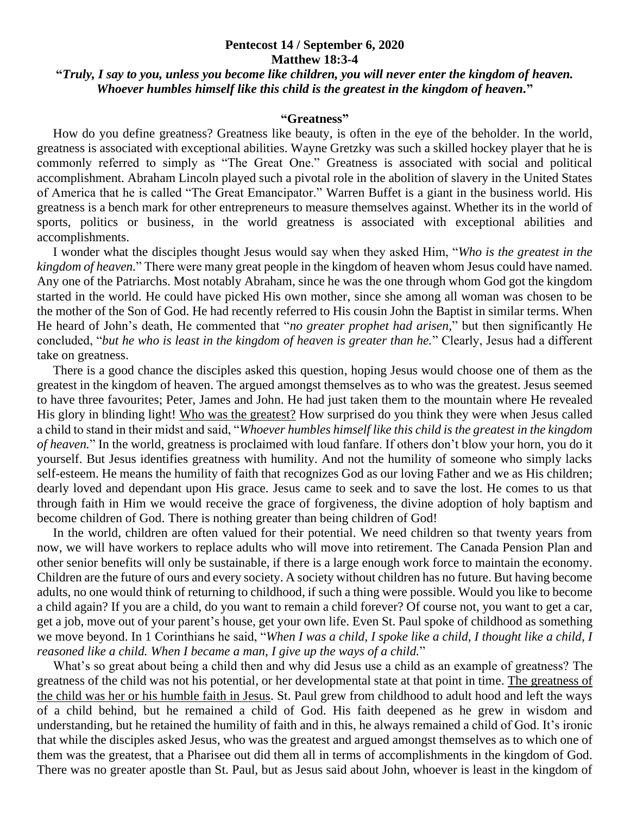## **Pentecost 14 / September 6, 2020 Matthew 18:3-4**

## **"***Truly, I say to you, unless you become like children, you will never enter the kingdom of heaven. Whoever humbles himself like this child is the greatest in the kingdom of heaven.***"**

## **"Greatness"**

 How do you define greatness? Greatness like beauty, is often in the eye of the beholder. In the world, greatness is associated with exceptional abilities. Wayne Gretzky was such a skilled hockey player that he is commonly referred to simply as "The Great One." Greatness is associated with social and political accomplishment. Abraham Lincoln played such a pivotal role in the abolition of slavery in the United States of America that he is called "The Great Emancipator." Warren Buffet is a giant in the business world. His greatness is a bench mark for other entrepreneurs to measure themselves against. Whether its in the world of sports, politics or business, in the world greatness is associated with exceptional abilities and accomplishments.

 I wonder what the disciples thought Jesus would say when they asked Him, "*Who is the greatest in the kingdom of heaven.*" There were many great people in the kingdom of heaven whom Jesus could have named. Any one of the Patriarchs. Most notably Abraham, since he was the one through whom God got the kingdom started in the world. He could have picked His own mother, since she among all woman was chosen to be the mother of the Son of God. He had recently referred to His cousin John the Baptist in similar terms. When He heard of John's death, He commented that "*no greater prophet had arisen,*" but then significantly He concluded, "*but he who is least in the kingdom of heaven is greater than he.*" Clearly, Jesus had a different take on greatness.

 There is a good chance the disciples asked this question, hoping Jesus would choose one of them as the greatest in the kingdom of heaven. The argued amongst themselves as to who was the greatest. Jesus seemed to have three favourites; Peter, James and John. He had just taken them to the mountain where He revealed His glory in blinding light! Who was the greatest? How surprised do you think they were when Jesus called a child to stand in their midst and said, "*Whoever humbles himself like this child is the greatest in the kingdom of heaven.*" In the world, greatness is proclaimed with loud fanfare. If others don't blow your horn, you do it yourself. But Jesus identifies greatness with humility. And not the humility of someone who simply lacks self-esteem. He means the humility of faith that recognizes God as our loving Father and we as His children; dearly loved and dependant upon His grace. Jesus came to seek and to save the lost. He comes to us that through faith in Him we would receive the grace of forgiveness, the divine adoption of holy baptism and become children of God. There is nothing greater than being children of God!

 In the world, children are often valued for their potential. We need children so that twenty years from now, we will have workers to replace adults who will move into retirement. The Canada Pension Plan and other senior benefits will only be sustainable, if there is a large enough work force to maintain the economy. Children are the future of ours and every society. A society without children has no future. But having become adults, no one would think of returning to childhood, if such a thing were possible. Would you like to become a child again? If you are a child, do you want to remain a child forever? Of course not, you want to get a car, get a job, move out of your parent's house, get your own life. Even St. Paul spoke of childhood as something we move beyond. In 1 Corinthians he said, "*When I was a child, I spoke like a child, I thought like a child, I reasoned like a child. When I became a man, I give up the ways of a child.*"

 What's so great about being a child then and why did Jesus use a child as an example of greatness? The greatness of the child was not his potential, or her developmental state at that point in time. The greatness of the child was her or his humble faith in Jesus. St. Paul grew from childhood to adult hood and left the ways of a child behind, but he remained a child of God. His faith deepened as he grew in wisdom and understanding, but he retained the humility of faith and in this, he always remained a child of God. It's ironic that while the disciples asked Jesus, who was the greatest and argued amongst themselves as to which one of them was the greatest, that a Pharisee out did them all in terms of accomplishments in the kingdom of God. There was no greater apostle than St. Paul, but as Jesus said about John, whoever is least in the kingdom of